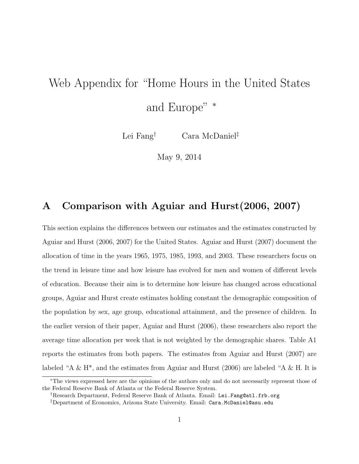# Web Appendix for "Home Hours in the United States and Europe" <sup>∗</sup>

Lei Fang† Cara McDaniel‡

May 9, 2014

## A Comparison with Aguiar and Hurst(2006, 2007)

This section explains the differences between our estimates and the estimates constructed by Aguiar and Hurst (2006, 2007) for the United States. Aguiar and Hurst (2007) document the allocation of time in the years 1965, 1975, 1985, 1993, and 2003. These researchers focus on the trend in leisure time and how leisure has evolved for men and women of different levels of education. Because their aim is to determine how leisure has changed across educational groups, Aguiar and Hurst create estimates holding constant the demographic composition of the population by sex, age group, educational attainment, and the presence of children. In the earlier version of their paper, Aguiar and Hurst (2006), these researchers also report the average time allocation per week that is not weighted by the demographic shares. Table A1 reports the estimates from both papers. The estimates from Aguiar and Hurst (2007) are labeled "A & H<sup>\*</sup>, and the estimates from Aguiar and Hurst (2006) are labeled "A & H. It is

<sup>∗</sup>The views expressed here are the opinions of the authors only and do not necessarily represent those of the Federal Reserve Bank of Atlanta or the Federal Reserve System.

<sup>†</sup>Research Department, Federal Reserve Bank of Atlanta. Email: Lei.Fang@atl.frb.org

<sup>‡</sup>Department of Economics, Arizona State University. Email: Cara.McDaniel@asu.edu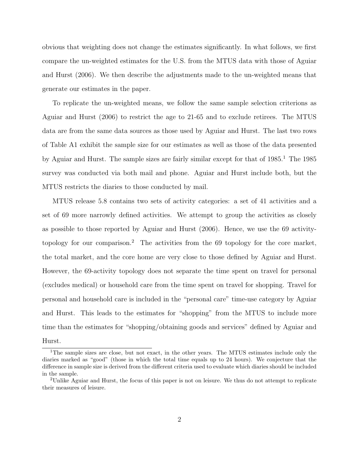obvious that weighting does not change the estimates significantly. In what follows, we first compare the un-weighted estimates for the U.S. from the MTUS data with those of Aguiar and Hurst (2006). We then describe the adjustments made to the un-weighted means that generate our estimates in the paper.

To replicate the un-weighted means, we follow the same sample selection criterions as Aguiar and Hurst (2006) to restrict the age to 21-65 and to exclude retirees. The MTUS data are from the same data sources as those used by Aguiar and Hurst. The last two rows of Table A1 exhibit the sample size for our estimates as well as those of the data presented by Aguiar and Hurst. The sample sizes are fairly similar except for that of  $1985<sup>1</sup>$ . The 1985 survey was conducted via both mail and phone. Aguiar and Hurst include both, but the MTUS restricts the diaries to those conducted by mail.

MTUS release 5.8 contains two sets of activity categories: a set of 41 activities and a set of 69 more narrowly defined activities. We attempt to group the activities as closely as possible to those reported by Aguiar and Hurst (2006). Hence, we use the 69 activitytopology for our comparison.<sup>2</sup> The activities from the 69 topology for the core market, the total market, and the core home are very close to those defined by Aguiar and Hurst. However, the 69-activity topology does not separate the time spent on travel for personal (excludes medical) or household care from the time spent on travel for shopping. Travel for personal and household care is included in the "personal care" time-use category by Aguiar and Hurst. This leads to the estimates for "shopping" from the MTUS to include more time than the estimates for "shopping/obtaining goods and services" defined by Aguiar and

#### Hurst.

<sup>&</sup>lt;sup>1</sup>The sample sizes are close, but not exact, in the other years. The MTUS estimates include only the diaries marked as "good" (those in which the total time equals up to 24 hours). We conjecture that the difference in sample size is derived from the different criteria used to evaluate which diaries should be included in the sample.

<sup>2</sup>Unlike Aguiar and Hurst, the focus of this paper is not on leisure. We thus do not attempt to replicate their measures of leisure.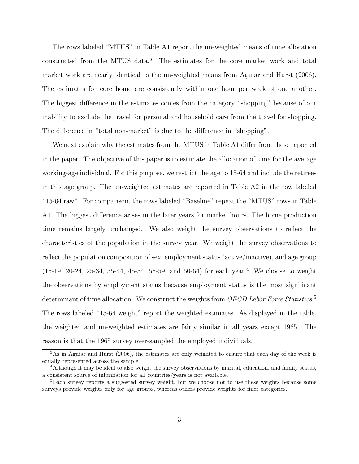The rows labeled "MTUS" in Table A1 report the un-weighted means of time allocation constructed from the MTUS data.<sup>3</sup> The estimates for the core market work and total market work are nearly identical to the un-weighted means from Aguiar and Hurst (2006). The estimates for core home are consistently within one hour per week of one another. The biggest difference in the estimates comes from the category "shopping" because of our inability to exclude the travel for personal and household care from the travel for shopping. The difference in "total non-market" is due to the difference in "shopping".

We next explain why the estimates from the MTUS in Table A1 differ from those reported in the paper. The objective of this paper is to estimate the allocation of time for the average working-age individual. For this purpose, we restrict the age to 15-64 and include the retirees in this age group. The un-weighted estimates are reported in Table A2 in the row labeled "15-64 raw". For comparison, the rows labeled "Baseline" repeat the "MTUS" rows in Table A1. The biggest difference arises in the later years for market hours. The home production time remains largely unchanged. We also weight the survey observations to reflect the characteristics of the population in the survey year. We weight the survey observations to reflect the population composition of sex, employment status (active/inactive), and age group  $(15-19, 20-24, 25-34, 35-44, 45-54, 55-59, \text{ and } 60-64)$  for each year.<sup>4</sup> We choose to weight the observations by employment status because employment status is the most significant determinant of time allocation. We construct the weights from OECD Labor Force Statistics.<sup>5</sup> The rows labeled "15-64 weight" report the weighted estimates. As displayed in the table, the weighted and un-weighted estimates are fairly similar in all years except 1965. The reason is that the 1965 survey over-sampled the employed individuals.

<sup>3</sup>As in Aguiar and Hurst (2006), the estimates are only weighted to ensure that each day of the week is equally represented across the sample.

<sup>&</sup>lt;sup>4</sup>Although it may be ideal to also weight the survey observations by marital, education, and family status, a consistent source of information for all countries/years is not available.

<sup>&</sup>lt;sup>5</sup>Each survey reports a suggested survey weight, but we choose not to use these weights because some surveys provide weights only for age groups, whereas others provide weights for finer categories.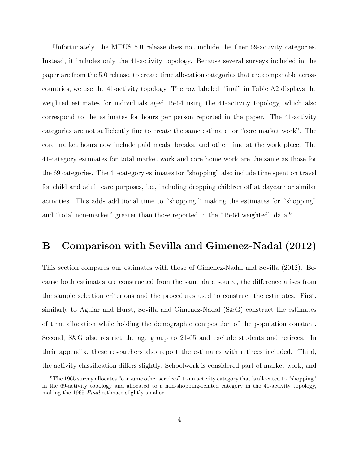Unfortunately, the MTUS 5.0 release does not include the finer 69-activity categories. Instead, it includes only the 41-activity topology. Because several surveys included in the paper are from the 5.0 release, to create time allocation categories that are comparable across countries, we use the 41-activity topology. The row labeled "final" in Table A2 displays the weighted estimates for individuals aged 15-64 using the 41-activity topology, which also correspond to the estimates for hours per person reported in the paper. The 41-activity categories are not sufficiently fine to create the same estimate for "core market work". The core market hours now include paid meals, breaks, and other time at the work place. The 41-category estimates for total market work and core home work are the same as those for the 69 categories. The 41-category estimates for "shopping" also include time spent on travel for child and adult care purposes, i.e., including dropping children off at daycare or similar activities. This adds additional time to "shopping," making the estimates for "shopping" and "total non-market" greater than those reported in the "15-64 weighted" data.<sup>6</sup>

## B Comparison with Sevilla and Gimenez-Nadal (2012)

This section compares our estimates with those of Gimenez-Nadal and Sevilla (2012). Because both estimates are constructed from the same data source, the difference arises from the sample selection criterions and the procedures used to construct the estimates. First, similarly to Aguiar and Hurst, Sevilla and Gimenez-Nadal (S&G) construct the estimates of time allocation while holding the demographic composition of the population constant. Second, S&G also restrict the age group to 21-65 and exclude students and retirees. In their appendix, these researchers also report the estimates with retirees included. Third, the activity classification differs slightly. Schoolwork is considered part of market work, and

<sup>&</sup>lt;sup>6</sup>The 1965 survey allocates "consume other services" to an activity category that is allocated to "shopping" in the 69-activity topology and allocated to a non-shopping-related category in the 41-activity topology, making the 1965 Final estimate slightly smaller.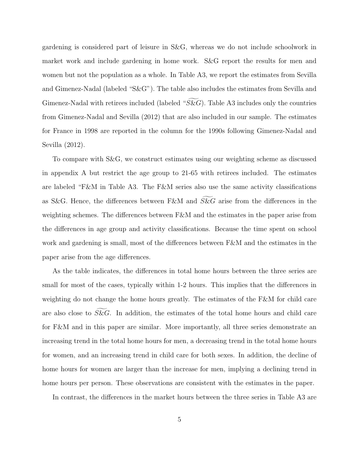gardening is considered part of leisure in S&G, whereas we do not include schoolwork in market work and include gardening in home work. S&G report the results for men and women but not the population as a whole. In Table A3, we report the estimates from Sevilla and Gimenez-Nadal (labeled "S&G"). The table also includes the estimates from Sevilla and Gimenez-Nadal with retirees included (labeled " $S\&G$ ). Table A3 includes only the countries from Gimenez-Nadal and Sevilla (2012) that are also included in our sample. The estimates for France in 1998 are reported in the column for the 1990s following Gimenez-Nadal and Sevilla (2012).

To compare with S&G, we construct estimates using our weighting scheme as discussed in appendix A but restrict the age group to 21-65 with retirees included. The estimates are labeled "F&M in Table A3. The F&M series also use the same activity classifications as S&G. Hence, the differences between F&M and  $S\&G$  arise from the differences in the weighting schemes. The differences between F&M and the estimates in the paper arise from the differences in age group and activity classifications. Because the time spent on school work and gardening is small, most of the differences between F&M and the estimates in the paper arise from the age differences.

As the table indicates, the differences in total home hours between the three series are small for most of the cases, typically within 1-2 hours. This implies that the differences in weighting do not change the home hours greatly. The estimates of the F&M for child care are also close to  $S\&G$ . In addition, the estimates of the total home hours and child care for F&M and in this paper are similar. More importantly, all three series demonstrate an increasing trend in the total home hours for men, a decreasing trend in the total home hours for women, and an increasing trend in child care for both sexes. In addition, the decline of home hours for women are larger than the increase for men, implying a declining trend in home hours per person. These observations are consistent with the estimates in the paper.

In contrast, the differences in the market hours between the three series in Table A3 are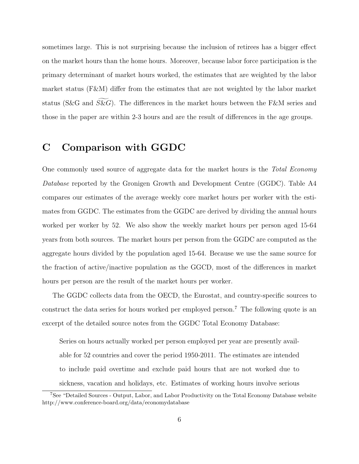sometimes large. This is not surprising because the inclusion of retirees has a bigger effect on the market hours than the home hours. Moreover, because labor force participation is the primary determinant of market hours worked, the estimates that are weighted by the labor market status (F&M) differ from the estimates that are not weighted by the labor market status (S&G and S&G). The differences in the market hours between the F&M series and those in the paper are within 2-3 hours and are the result of differences in the age groups.

# C Comparison with GGDC

One commonly used source of aggregate data for the market hours is the Total Economy Database reported by the Gronigen Growth and Development Centre (GGDC). Table A4 compares our estimates of the average weekly core market hours per worker with the estimates from GGDC. The estimates from the GGDC are derived by dividing the annual hours worked per worker by 52. We also show the weekly market hours per person aged 15-64 years from both sources. The market hours per person from the GGDC are computed as the aggregate hours divided by the population aged 15-64. Because we use the same source for the fraction of active/inactive population as the GGCD, most of the differences in market hours per person are the result of the market hours per worker.

The GGDC collects data from the OECD, the Eurostat, and country-specific sources to construct the data series for hours worked per employed person.<sup>7</sup> The following quote is an excerpt of the detailed source notes from the GGDC Total Economy Database:

Series on hours actually worked per person employed per year are presently available for 52 countries and cover the period 1950-2011. The estimates are intended to include paid overtime and exclude paid hours that are not worked due to sickness, vacation and holidays, etc. Estimates of working hours involve serious

<sup>7</sup>See "Detailed Sources - Output, Labor, and Labor Productivity on the Total Economy Database website http://www.conference-board.org/data/economydatabase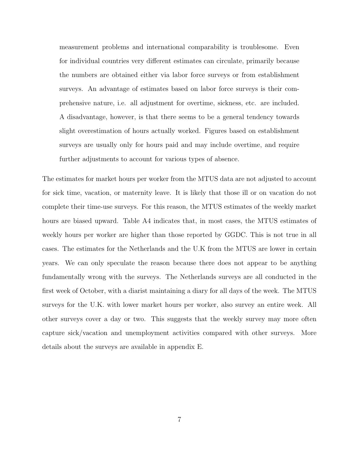measurement problems and international comparability is troublesome. Even for individual countries very different estimates can circulate, primarily because the numbers are obtained either via labor force surveys or from establishment surveys. An advantage of estimates based on labor force surveys is their comprehensive nature, i.e. all adjustment for overtime, sickness, etc. are included. A disadvantage, however, is that there seems to be a general tendency towards slight overestimation of hours actually worked. Figures based on establishment surveys are usually only for hours paid and may include overtime, and require further adjustments to account for various types of absence.

The estimates for market hours per worker from the MTUS data are not adjusted to account for sick time, vacation, or maternity leave. It is likely that those ill or on vacation do not complete their time-use surveys. For this reason, the MTUS estimates of the weekly market hours are biased upward. Table A4 indicates that, in most cases, the MTUS estimates of weekly hours per worker are higher than those reported by GGDC. This is not true in all cases. The estimates for the Netherlands and the U.K from the MTUS are lower in certain years. We can only speculate the reason because there does not appear to be anything fundamentally wrong with the surveys. The Netherlands surveys are all conducted in the first week of October, with a diarist maintaining a diary for all days of the week. The MTUS surveys for the U.K. with lower market hours per worker, also survey an entire week. All other surveys cover a day or two. This suggests that the weekly survey may more often capture sick/vacation and unemployment activities compared with other surveys. More details about the surveys are available in appendix E.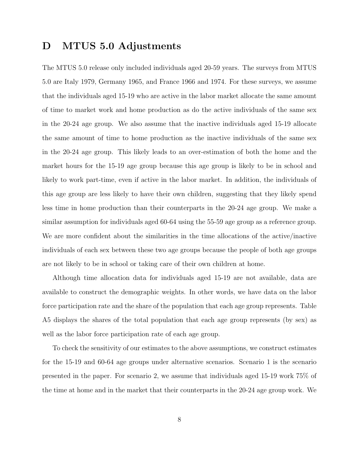# D MTUS 5.0 Adjustments

The MTUS 5.0 release only included individuals aged 20-59 years. The surveys from MTUS 5.0 are Italy 1979, Germany 1965, and France 1966 and 1974. For these surveys, we assume that the individuals aged 15-19 who are active in the labor market allocate the same amount of time to market work and home production as do the active individuals of the same sex in the 20-24 age group. We also assume that the inactive individuals aged 15-19 allocate the same amount of time to home production as the inactive individuals of the same sex in the 20-24 age group. This likely leads to an over-estimation of both the home and the market hours for the 15-19 age group because this age group is likely to be in school and likely to work part-time, even if active in the labor market. In addition, the individuals of this age group are less likely to have their own children, suggesting that they likely spend less time in home production than their counterparts in the 20-24 age group. We make a similar assumption for individuals aged 60-64 using the 55-59 age group as a reference group. We are more confident about the similarities in the time allocations of the active/inactive individuals of each sex between these two age groups because the people of both age groups are not likely to be in school or taking care of their own children at home.

Although time allocation data for individuals aged 15-19 are not available, data are available to construct the demographic weights. In other words, we have data on the labor force participation rate and the share of the population that each age group represents. Table A5 displays the shares of the total population that each age group represents (by sex) as well as the labor force participation rate of each age group.

To check the sensitivity of our estimates to the above assumptions, we construct estimates for the 15-19 and 60-64 age groups under alternative scenarios. Scenario 1 is the scenario presented in the paper. For scenario 2, we assume that individuals aged 15-19 work 75% of the time at home and in the market that their counterparts in the 20-24 age group work. We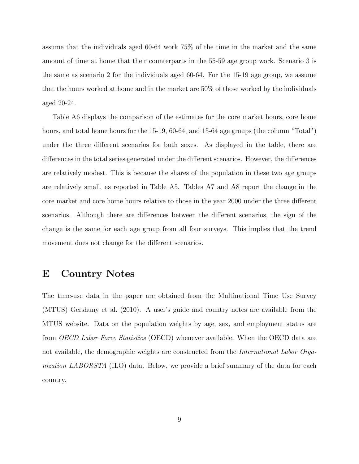assume that the individuals aged 60-64 work 75% of the time in the market and the same amount of time at home that their counterparts in the 55-59 age group work. Scenario 3 is the same as scenario 2 for the individuals aged 60-64. For the 15-19 age group, we assume that the hours worked at home and in the market are 50% of those worked by the individuals aged 20-24.

Table A6 displays the comparison of the estimates for the core market hours, core home hours, and total home hours for the 15-19, 60-64, and 15-64 age groups (the column "Total") under the three different scenarios for both sexes. As displayed in the table, there are differences in the total series generated under the different scenarios. However, the differences are relatively modest. This is because the shares of the population in these two age groups are relatively small, as reported in Table A5. Tables A7 and A8 report the change in the core market and core home hours relative to those in the year 2000 under the three different scenarios. Although there are differences between the different scenarios, the sign of the change is the same for each age group from all four surveys. This implies that the trend movement does not change for the different scenarios.

## E Country Notes

The time-use data in the paper are obtained from the Multinational Time Use Survey (MTUS) Gershuny et al. (2010). A user's guide and country notes are available from the MTUS website. Data on the population weights by age, sex, and employment status are from OECD Labor Force Statistics (OECD) whenever available. When the OECD data are not available, the demographic weights are constructed from the *International Labor Orga*nization LABORSTA (ILO) data. Below, we provide a brief summary of the data for each country.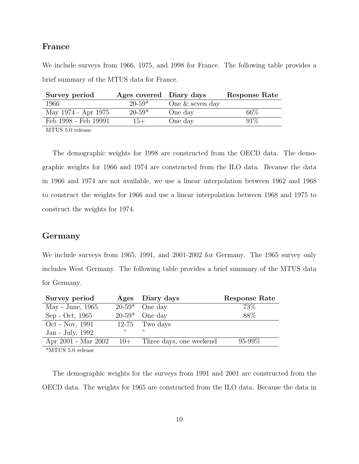### France

We include surveys from 1966, 1975, and 1998 for France. The following table provides a brief summary of the MTUS data for France.

| Survey period                              | Ages covered Diary days |                   | Response Rate |
|--------------------------------------------|-------------------------|-------------------|---------------|
| 1966                                       | $20 - 59*$              | One $&$ seven day |               |
| May 1974 - Apr 1975                        | $20-59*$                | One day           | $66\%$        |
| Feb 1998 - Feb 19991                       | $15+$                   | One day           | 91%           |
| $\lambda$ finitial $\lambda$ and $\lambda$ |                         |                   |               |

MTUS 5.0 release

The demographic weights for 1998 are constructed from the OECD data. The demographic weights for 1966 and 1974 are constructed from the ILO data. Because the data in 1966 and 1974 are not available, we use a linear interpolation between 1962 and 1968 to construct the weights for 1966 and use a linear interpolation between 1968 and 1975 to construct the weights for 1974.

### Germany

We include surveys from 1965, 1991, and 2001-2002 for Germany. The 1965 survey only includes West Germany. The following table provides a brief summary of the MTUS data for Germany.

| Survey period                  |       | Ages Diary days         | Response Rate |
|--------------------------------|-------|-------------------------|---------------|
| May - June, 1965               |       | $20-59*$ One day        | 73\%          |
| Sep - Oct, 1965                |       | $20-59*$ One day        | 88\%          |
| Oct - Nov, 1991                |       | $12-75$ Two days        |               |
| Jan - July, 1992               | ,,    | י י                     |               |
| Apr 2001 - Mar 2002            | $10+$ | Three days, one weekend | $95 - 99\%$   |
| $*$ MTIIC $\epsilon$ 0 malages |       |                         |               |

\*MTUS 5.0 release

The demographic weights for the surveys from 1991 and 2001 are constructed from the OECD data. The weights for 1965 are constructed from the ILO data. Because the data in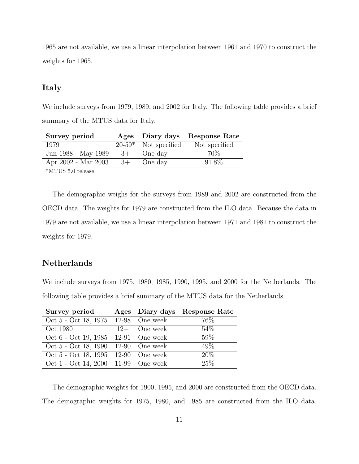1965 are not available, we use a linear interpolation between 1961 and 1970 to construct the weights for 1965.

#### Italy

We include surveys from 1979, 1989, and 2002 for Italy. The following table provides a brief summary of the MTUS data for Italy.

| Survey period       |      |                        | Ages Diary days Response Rate |
|---------------------|------|------------------------|-------------------------------|
| 1979                |      | $20-59*$ Not specified | Not specified                 |
| Jun 1988 - May 1989 | $3+$ | One day                | 70\%                          |
| Apr 2002 - Mar 2003 | $3+$ | One day                | 91.8%                         |
|                     |      |                        |                               |

\*MTUS 5.0 release

The demographic weighs for the surveys from 1989 and 2002 are constructed from the OECD data. The weights for 1979 are constructed from the ILO data. Because the data in 1979 are not available, we use a linear interpolation between 1971 and 1981 to construct the weights for 1979.

## Netherlands

We include surveys from 1975, 1980, 1985, 1990, 1995, and 2000 for the Netherlands. The following table provides a brief summary of the MTUS data for the Netherlands.

| Survey period                       |                | Ages Diary days Response Rate |
|-------------------------------------|----------------|-------------------------------|
| Oct 5 - Oct 18, 1975 12-98 One week |                | 76\%                          |
| Oct 1980                            | $12+$ One week | 54\%                          |
| Oct 6 - Oct 19, 1985 12-91 One week |                | 59%                           |
| Oct 5 - Oct 18, 1990 12-90 One week |                | 49\%                          |
| Oct 5 - Oct 18, 1995 12-90 One week |                | 20%                           |
| Oct 1 - Oct 14, 2000 11-99 One week |                | 25%                           |

The demographic weights for 1900, 1995, and 2000 are constructed from the OECD data. The demographic weights for 1975, 1980, and 1985 are constructed from the ILO data.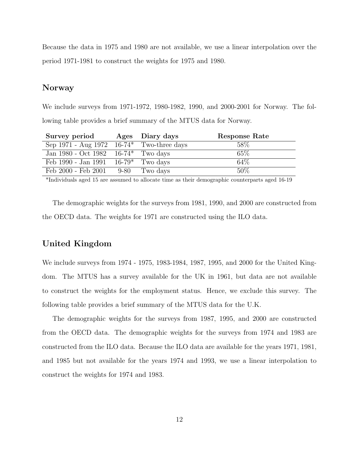Because the data in 1975 and 1980 are not available, we use a linear interpolation over the period 1971-1981 to construct the weights for 1975 and 1980.

#### Norway

We include surveys from 1971-1972, 1980-1982, 1990, and 2000-2001 for Norway. The following table provides a brief summary of the MTUS data for Norway.

| Survey period                                | Ages Diary days | Response Rate |
|----------------------------------------------|-----------------|---------------|
| Sep 1971 - Aug 1972 $16-74^*$ Two-three days |                 | 58\%          |
| Jan 1980 - Oct 1982 $16-74^*$ Two days       |                 | 65%           |
| Feb 1990 - Jan 1991 $16-79^*$ Two days       |                 | 64%           |
| Feb 2000 - Feb 2001 9-80 Two days            |                 | $50\%$        |

\*Individuals aged 15 are assumed to allocate time as their demographic counterparts aged 16-19

The demographic weights for the surveys from 1981, 1990, and 2000 are constructed from the OECD data. The weights for 1971 are constructed using the ILO data.

## United Kingdom

We include surveys from 1974 - 1975, 1983-1984, 1987, 1995, and 2000 for the United Kingdom. The MTUS has a survey available for the UK in 1961, but data are not available to construct the weights for the employment status. Hence, we exclude this survey. The following table provides a brief summary of the MTUS data for the U.K.

The demographic weights for the surveys from 1987, 1995, and 2000 are constructed from the OECD data. The demographic weights for the surveys from 1974 and 1983 are constructed from the ILO data. Because the ILO data are available for the years 1971, 1981, and 1985 but not available for the years 1974 and 1993, we use a linear interpolation to construct the weights for 1974 and 1983.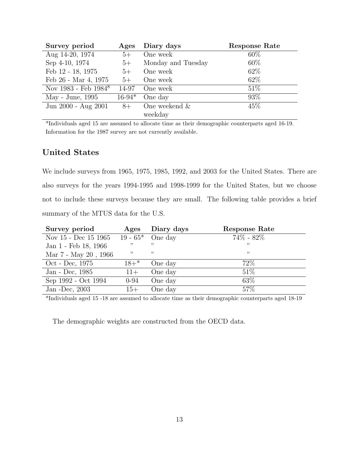| Survey period           | Ages     | Diary days         | <b>Response Rate</b> |
|-------------------------|----------|--------------------|----------------------|
| Aug 14-20, 1974         | $5+$     | One week           | 60%                  |
| Sep 4-10, 1974          | $5+$     | Monday and Tuesday | 60%                  |
| Feb 12 - 18, 1975       | $5+$     | One week           | 62\%                 |
| Feb 26 - Mar 4, 1975    | $5+$     | One week           | 62\%                 |
| Nov 1983 - Feb $1984^8$ |          | 14-97 One week     | 51\%                 |
| May - June, 1995        | $16-94*$ | One day            | 93\%                 |
| Jun 2000 - Aug 2001     | $8+$     | One weekend $\&$   | 45\%                 |
|                         |          | weekday            |                      |

\*Individuals aged 15 are assumed to allocate time as their demographic counterparts aged 16-19. Information for the 1987 survey are not currently available.

## United States

We include surveys from 1965, 1975, 1985, 1992, and 2003 for the United States. There are also surveys for the years 1994-1995 and 1998-1999 for the United States, but we choose not to include these surveys because they are small. The following table provides a brief summary of the MTUS data for the U.S.

| Survey period        | Ages     | Diary days          | Response Rate |
|----------------------|----------|---------------------|---------------|
| Nov 15 - Dec 15 1965 |          | 19 - $65^*$ One day | $74\% - 82\%$ |
| Jan 1 - Feb 18, 1966 |          | , ,                 | , 2           |
| Mar 7 - May 20, 1966 | , 2      | , ,                 | ,,            |
| Oct - Dec, 1975      | $18+$ *  | One day             | 72%           |
| Jan - Dec, 1985      | $11+$    | One day             | $51\%$        |
| Sep 1992 - Oct 1994  | $0 - 94$ | One day             | 63\%          |
| Jan - Dec, $2003$    | $15+$    | One day             | 57\%          |

\*Individuals aged 15 -18 are assumed to allocate time as their demographic counterparts aged 18-19

The demographic weights are constructed from the OECD data.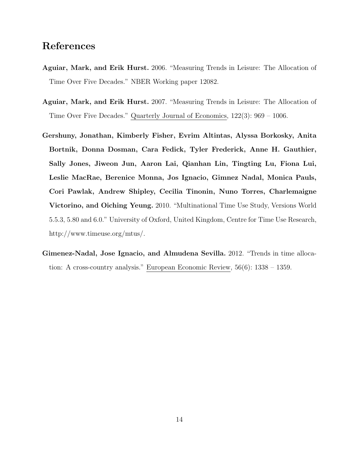## References

- Aguiar, Mark, and Erik Hurst. 2006. "Measuring Trends in Leisure: The Allocation of Time Over Five Decades." NBER Working paper 12082.
- Aguiar, Mark, and Erik Hurst. 2007. "Measuring Trends in Leisure: The Allocation of Time Over Five Decades." Quarterly Journal of Economics, 122(3): 969 – 1006.
- Gershuny, Jonathan, Kimberly Fisher, Evrim Altintas, Alyssa Borkosky, Anita Bortnik, Donna Dosman, Cara Fedick, Tyler Frederick, Anne H. Gauthier, Sally Jones, Jiweon Jun, Aaron Lai, Qianhan Lin, Tingting Lu, Fiona Lui, Leslie MacRae, Berenice Monna, Jos Ignacio, Gimnez Nadal, Monica Pauls, Cori Pawlak, Andrew Shipley, Cecilia Tinonin, Nuno Torres, Charlemaigne Victorino, and Oiching Yeung. 2010. "Multinational Time Use Study, Versions World 5.5.3, 5.80 and 6.0." University of Oxford, United Kingdom, Centre for Time Use Research, http://www.timeuse.org/mtus/.
- Gimenez-Nadal, Jose Ignacio, and Almudena Sevilla. 2012. "Trends in time allocation: A cross-country analysis." European Economic Review, 56(6): 1338 – 1359.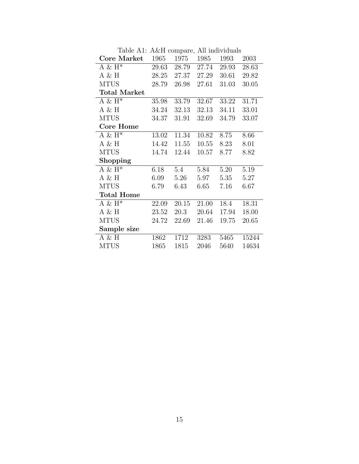| Table Tel. Texti compare, Tell murviquals |       |       |       |       |       |
|-------------------------------------------|-------|-------|-------|-------|-------|
| Core Market                               | 1965  | 1975  | 1985  | 1993  | 2003  |
| A & $H^*$                                 | 29.63 | 28.79 | 27.74 | 29.93 | 28.63 |
| A & H                                     | 28.25 | 27.37 | 27.29 | 30.61 | 29.82 |
| <b>MTUS</b>                               | 28.79 | 26.98 | 27.61 | 31.03 | 30.05 |
| <b>Total Market</b>                       |       |       |       |       |       |
| $A \& H^*$                                | 35.98 | 33.79 | 32.67 | 33.22 | 31.71 |
| $A \& H$                                  | 34.24 | 32.13 | 32.13 | 34.11 | 33.01 |
| <b>MTUS</b>                               | 34.37 | 31.91 | 32.69 | 34.79 | 33.07 |
| <b>Core Home</b>                          |       |       |       |       |       |
| A & $H^*$                                 | 13.02 | 11.34 | 10.82 | 8.75  | 8.66  |
| $A \& H$                                  | 14.42 | 11.55 | 10.55 | 8.23  | 8.01  |
| <b>MTUS</b>                               | 14.74 | 12.44 | 10.57 | 8.77  | 8.82  |
| Shopping                                  |       |       |       |       |       |
| $A \& H^*$                                | 6.18  | 5.4   | 5.84  | 5.20  | 5.19  |
| $A \& H$                                  | 6.09  | 5.26  | 5.97  | 5.35  | 5.27  |
| <b>MTUS</b>                               | 6.79  | 6.43  | 6.65  | 7.16  | 6.67  |
| <b>Total Home</b>                         |       |       |       |       |       |
| A & $\mathrm{H}^{*}$                      | 22.09 | 20.15 | 21.00 | 18.4  | 18.31 |
| $A \& H$                                  | 23.52 | 20.3  | 20.64 | 17.94 | 18.00 |
| <b>MTUS</b>                               | 24.72 | 22.69 | 21.46 | 19.75 | 20.65 |
| Sample size                               |       |       |       |       |       |
| $A \& H$                                  | 1862  | 1712  | 3283  | 5465  | 15244 |
| <b>MTUS</b>                               | 1865  | 1815  | 2046  | 5640  | 14634 |

Table A1: A&H compare, All individuals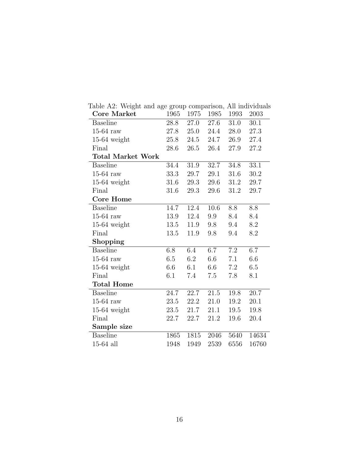| <b>Core Market</b>       | 1965 | 1975 | 1985    | 1993     | 2003     |
|--------------------------|------|------|---------|----------|----------|
| <b>Baseline</b>          | 28.8 | 27.0 | 27.6    | 31.0     | 30.1     |
| $15-64$ raw              | 27.8 | 25.0 | 24.4    | 28.0     | 27.3     |
| $15-64$ weight           | 25.8 | 24.5 | 24.7    | 26.9     | 27.4     |
| Final                    | 28.6 | 26.5 | 26.4    | 27.9     | 27.2     |
| <b>Total Market Work</b> |      |      |         |          |          |
| <b>Baseline</b>          | 34.4 | 31.9 | 32.7    | $34.8\,$ | $33.1\,$ |
| $15-64$ raw              | 33.3 | 29.7 | 29.1    | 31.6     | 30.2     |
| $15-64$ weight           | 31.6 | 29.3 | 29.6    | 31.2     | 29.7     |
| Final                    | 31.6 | 29.3 | 29.6    | 31.2     | 29.7     |
| <b>Core Home</b>         |      |      |         |          |          |
| <b>Baseline</b>          | 14.7 | 12.4 | 10.6    | 8.8      | 8.8      |
| $15-64$ raw              | 13.9 | 12.4 | 9.9     | 8.4      | 8.4      |
| $15-64$ weight           | 13.5 | 11.9 | 9.8     | 9.4      | 8.2      |
| Final                    | 13.5 | 11.9 | 9.8     | 9.4      | 8.2      |
| Shopping                 |      |      |         |          |          |
| <b>Baseline</b>          | 6.8  | 6.4  | 6.7     | 7.2      | 6.7      |
| $15-64$ raw              | 6.5  | 6.2  | 6.6     | 7.1      | 6.6      |
| $15-64$ weight           | 6.6  | 6.1  | 6.6     | 7.2      | 6.5      |
| Final                    | 6.1  | 7.4  | $7.5\,$ | 7.8      | 8.1      |
| <b>Total Home</b>        |      |      |         |          |          |
| <b>Baseline</b>          | 24.7 | 22.7 | 21.5    | 19.8     | 20.7     |
| $15-64$ raw              | 23.5 | 22.2 | 21.0    | 19.2     | 20.1     |
| $15-64$ weight           | 23.5 | 21.7 | 21.1    | 19.5     | 19.8     |
| Final                    | 22.7 | 22.7 | 21.2    | 19.6     | 20.4     |
| Sample size              |      |      |         |          |          |
| <b>Baseline</b>          | 1865 | 1815 | 2046    | 5640     | 14634    |
| $15-64$ all              | 1948 | 1949 | 2539    | 6556     | 16760    |

Table A2: Weight and age group comparison, All individuals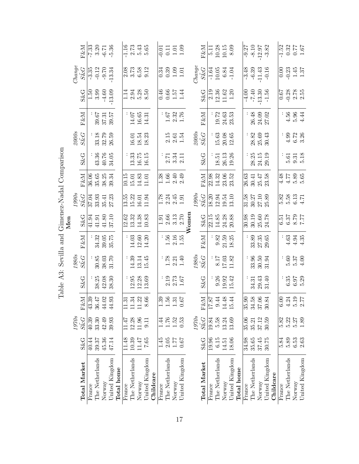|     |        | F&M                                                  |        |                 | $\frac{33}{7}$<br>$\frac{33}{7}$<br>$\frac{37}{7}$<br>$\frac{37}{7}$<br>$\frac{36}{7}$ |                |            |                                  |                 |                                                          | $\frac{16}{2}$<br>$\frac{2}{5}$<br>$\frac{43}{5}$<br>$\frac{65}{5}$ |           |          | $-0.11$<br>$-1.01$<br>$-1.09$                              |        |                |       |                     | F&M                                             |        | $\frac{1}{5.11}$<br>10.28<br>10.15<br>8.09                                             |        |                |            |        |                 | $-9.27$<br>$-8.10$<br>$-12.97$<br>$-3.82$              |                |           | $-1.52$<br>$0.32$<br>$0.77$<br>$1.67$                    |                                                     |        |                |
|-----|--------|------------------------------------------------------|--------|-----------------|----------------------------------------------------------------------------------------|----------------|------------|----------------------------------|-----------------|----------------------------------------------------------|---------------------------------------------------------------------|-----------|----------|------------------------------------------------------------|--------|----------------|-------|---------------------|-------------------------------------------------|--------|----------------------------------------------------------------------------------------|--------|----------------|------------|--------|-----------------|--------------------------------------------------------|----------------|-----------|----------------------------------------------------------|-----------------------------------------------------|--------|----------------|
|     | Change | $S\tilde{\&}G$                                       |        |                 | $\frac{35}{3.33}$<br>$\frac{0.12}{9.70}$<br>$\frac{0.13}{1.334}$                       |                |            |                                  |                 | $\begin{array}{c} 0.8 \\ 0.7 \\ 0.5 \\ 0.12 \end{array}$ |                                                                     |           |          | $\begin{array}{c} 0.34 \\ 0.39 \\ 1.01 \end{array}$        |        |                |       | $\mathcal{I}$ hange | $S\&G$                                          |        | $\frac{1.64}{10.05}$<br>0.05<br>1.04                                                   |        |                |            |        |                 | $-3.48$<br>$-6.39$<br>$-11.43$<br>$-0.16$              |                |           |                                                          | $0.23$<br>$0.23$<br>$1.37$<br>$1.37$                |        |                |
|     |        | <b>S&amp;G</b>                                       | 1.50   | 3.99            | $-4.60$                                                                                | $-13.09$       |            |                                  |                 | $1.385$<br>$1.385$<br>$8.5$                              |                                                                     |           |          | $0.46$<br>$0.57$<br>$1.4$                                  |        |                |       |                     | <b>S&amp;G</b>                                  |        | $\frac{19}{2}$<br>$\frac{13}{1}$<br>$\frac{36}{1}$<br>$\frac{13}{1}$<br>$\frac{30}{1}$ |        |                |            |        |                 | $-4.00$<br>$-7.40$<br>$-13.30$<br>$-1.56$              |                |           |                                                          | 0.83<br>0.33<br>0.9 0.5<br>0.9 0.1                  |        |                |
|     |        | $\ensuremath{\text{F\&M}}$                           |        |                 | $39.57$<br>$37.31$<br>$39.57$                                                          |                |            |                                  |                 | $14.07$<br>$16.65$<br>$14.31$                            |                                                                     |           |          | $\begin{array}{c} 1.67 \\ 2.32 \\ 1.76 \end{array}$        |        |                |       |                     | FXM                                             |        | : 2<br>19.72<br>24.53<br>23.53                                                         |        |                |            |        |                 | : 48<br>26.40<br>24.02<br>27.02                        |                |           |                                                          | $: 56$<br>$\div 56$<br>$\div 44$                    |        |                |
|     |        | $\overset{\mathcal{D}OOS}{S\&G}$                     |        |                 | : 33.18<br>33.19<br>36.59                                                              |                |            |                                  |                 |                                                          | $\frac{16.01}{18.54}$                                               |           |          | $\begin{array}{c} 2.15 \\ 2.61 \\ 1.54 \end{array}$        |        |                |       | 2000s               | $S\tilde{\&}G$                                  |        | $15.63$<br>$20.08$                                                                     |        | 12.65          |            |        |                 | $28.82$<br>$25.69$<br>$30.43$                          |                |           |                                                          | $\begin{array}{c} 4.99 \\ 6.72 \\ 3.36 \end{array}$ |        |                |
|     |        | $S\&G$                                               |        |                 | : 36<br>43.76<br>49.75                                                                 |                |            |                                  |                 |                                                          | $13.33$<br>$16.75$<br>$16.15$                                       |           |          | $\begin{array}{c} 11.71 \\ 2.71.71 \\ 2.71.71 \end{array}$ |        |                |       |                     | $S\&G$                                          |        | $\frac{18.51}{26.13}$                                                                  |        |                |            |        |                 | : 25<br>28.15<br>29.19                                 |                |           |                                                          | $\begin{array}{c} 61 \\ 0.5 \\ 0.5 \end{array}$     |        |                |
|     |        | $\ensuremath{\mathsf{F}} \& \ensuremath{\mathsf{M}}$ |        |                 | 865833<br>85833                                                                        |                |            |                                  |                 |                                                          | $\begin{array}{c} 10.15 \\ 15.01 \\ 14.01 \\ 11.01 \end{array}$     |           |          | $1.38$<br>$1.66$<br>$2.49$<br>$2.49$                       |        |                |       |                     | E&N                                             |        | $\frac{8}{21}$<br>$\frac{33}{23}$<br>$\frac{33}{23}$<br>$\frac{33}{23}$                |        |                |            |        |                 | 26.63<br>26.45<br>26.53                                |                |           |                                                          |                                                     |        |                |
|     |        | $\frac{1990s}{S\&G}$ $\frac{S\&G}{37.04}$            |        |                 | $33.41$<br>$35.41$<br>$27.23$                                                          |                |            |                                  |                 |                                                          | $\frac{13.55}{15.22}$<br>15.23<br>16.194                            |           |          | $\frac{8}{1.78}$<br>$2.345$<br>$1.91$                      |        |                |       | <i>1990s</i>        | $\frac{S\&G}{18.20}$<br>12.94<br>19.54<br>13.10 |        |                                                                                        |        |                |            |        |                 | 31.58<br>30.27<br>27.10<br>25.89                       |                |           | 5.82<br>5.53<br>5.13<br>4.71                             |                                                     |        |                |
| Men |        | $S\&G$                                               |        |                 |                                                                                        |                |            |                                  |                 |                                                          |                                                                     |           |          | $1.91$<br>$2.66$<br>$3.70$<br>$2.70$                       |        |                | Womer |                     | $S\&G$                                          |        | 15<br>23.38<br>24.38.39<br>20.30                                                       |        |                |            |        |                 | 30.98<br>30.19<br>35.60<br>24.78                       |                |           | $\frac{11}{250}$<br>$\frac{12}{250}$<br>$\frac{12}{250}$ |                                                     |        |                |
|     |        | ${\rm F\&M}$                                         |        |                 | : 34.32<br>39.05<br>35.75                                                              |                |            |                                  |                 |                                                          | $\begin{array}{c} 14.03 \\ 12.60 \\ 14.20 \end{array}$              |           |          | $1.56$<br>$2.16$<br>$1.55$                                 |        |                |       |                     | FKM                                             |        | $\frac{9.82}{21.59}$                                                                   |        |                |            |        |                 | $\frac{33.89}{27.35}$                                  |                |           |                                                          | $: 634$<br>$4.94$<br>$4.35$                         |        |                |
|     |        | $1980s$ $S\tilde{\&}G$                               |        |                 | $30.85$<br>$38.03$<br>$31.70$                                                          |                |            |                                  |                 | $14.39$<br>$13.145$<br>$15.45$                           |                                                                     |           |          | $\begin{array}{c} 1.78 \\ 2.21 \\ 1.40 \end{array}$        |        |                |       |                     | $1980s$ $S\tilde{\&}G$                          |        | $8.17$<br>17.03<br>11.82                                                               |        |                |            |        |                 | $33.50$<br>$30.50$<br>$31.94$                          |                |           |                                                          | $\begin{array}{c} 5.60 \\ 5.37 \\ 4.00 \end{array}$ |        |                |
|     |        | <b>S&amp;G</b>                                       |        |                 | $38.25$<br>$42.08$<br>$38.30$                                                          |                |            |                                  |                 |                                                          | $\begin{array}{c} .36 \\ 12.95 \\ 13.69 \end{array}$                |           |          | $2.19$<br>$2.73$<br>$1.67$                                 |        |                |       |                     | $S\&G$                                          |        | $0.26$<br>$19.32$<br>$15.42$                                                           |        |                |            |        |                 | $\begin{array}{c} 34.31 \\ 29.43 \\ 31.40 \end{array}$ |                |           |                                                          | 555<br>1959<br>1959                                 |        |                |
|     |        | F&M<br>43.39<br>44.02<br>44.93<br>44.93              |        |                 |                                                                                        |                |            |                                  |                 | 52 52 69<br>$\Box$                                       | $\infty$                                                            |           |          |                                                            |        |                |       |                     |                                                 |        | $\frac{F\&M}{17.87}$ $0.448$ $14.48$ $15.44$                                           |        |                |            | 35     | 37              | 9.8884                                                 | $30\,$         |           |                                                          | $0.3497$<br>$0.497$<br>$0.77$<br>$0.77$             |        |                |
|     | 1970s  | $S\tilde{\&}G$                                       | 40.39  | 33.30           | $42.49$<br>$39.93$                                                                     |                |            | $\frac{11.\overline{47}}{12.28}$ |                 | 11.96                                                    | 0.11                                                                |           | 1.44     | $1.53$<br>$1.53$<br>$0.53$                                 |        |                |       | 1970 <sub>s</sub>   | $S\tilde{\&}G$                                  |        | $\frac{19.84}{5.58}$                                                                   | 13.24  | 13.69          |            | 35.06  |                 | 35.21<br>37.12                                         | 30.59          |           | 5.82                                                     | $\frac{5.27}{5.37}$                                 |        |                |
|     |        | $S\&G$                                               | 40.44  | 39.37           | 45.36                                                                                  | 47.14          |            | 11.48                            | 10.39           | $11.47\,$                                                | 7.65                                                                |           | $1.45\,$ | $2.77$<br>$1.77$<br>$0.67$                                 |        |                |       |                     | $S\&G$                                          | 19.96  | $6.15\,$                                                                               | 14.51  | 18.06          |            | 34.98  |                 | $\frac{35.65}{37.45}$                                  |                |           | 2<br>2005<br>2006<br>20                                  |                                                     |        |                |
|     |        | <b>Total Market</b>                                  | France | The Netherlands | Norway                                                                                 | United Kingdom | Total home | France                           | The Netherlands | Norway                                                   | United Kingdom                                                      | Childcare | France   | The Netherlands                                            | Norway | United Kingdom |       |                     | <b>Total Market</b>                             | France | The Netherlands                                                                        | Norway | United Kingdom | Total home | France | The Netherlands | Norway                                                 | United Kingdom | Childcare | France                                                   | The Netherlands                                     | Norway | United Kingdom |

Table A3: Sevilla and Gimenez-Nadal Comparison Table A3: Sevilla and Gimenez-Nadal Comparison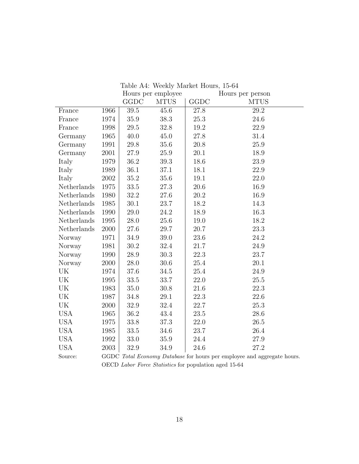|             |      |          | Hours per employee |             | Hours per person                                                        |
|-------------|------|----------|--------------------|-------------|-------------------------------------------------------------------------|
|             |      | GGDC     | <b>MTUS</b>        | <b>GGDC</b> | <b>MTUS</b>                                                             |
| France      | 1966 | 39.5     | 45.6               | 27.8        | 29.2                                                                    |
| France      | 1974 | 35.9     | 38.3               | 25.3        | 24.6                                                                    |
| France      | 1998 | 29.5     | 32.8               | 19.2        | 22.9                                                                    |
| Germany     | 1965 | 40.0     | 45.0               | 27.8        | 31.4                                                                    |
| Germany     | 1991 | 29.8     | 35.6               | 20.8        | 25.9                                                                    |
| Germany     | 2001 | 27.9     | 25.9               | 20.1        | 18.9                                                                    |
| Italy       | 1979 | 36.2     | 39.3               | 18.6        | 23.9                                                                    |
| Italy       | 1989 | 36.1     | 37.1               | 18.1        | 22.9                                                                    |
| Italy       | 2002 | 35.2     | $35.6\,$           | 19.1        | 22.0                                                                    |
| Netherlands | 1975 | 33.5     | 27.3               | 20.6        | 16.9                                                                    |
| Netherlands | 1980 | 32.2     | 27.6               | 20.2        | 16.9                                                                    |
| Netherlands | 1985 | 30.1     | 23.7               | 18.2        | 14.3                                                                    |
| Netherlands | 1990 | 29.0     | 24.2               | 18.9        | 16.3                                                                    |
| Netherlands | 1995 | 28.0     | 25.6               | 19.0        | 18.2                                                                    |
| Netherlands | 2000 | 27.6     | 29.7               | 20.7        | 23.3                                                                    |
| Norway      | 1971 | 34.9     | 39.0               | 23.6        | 24.2                                                                    |
| Norway      | 1981 | 30.2     | 32.4               | 21.7        | 24.9                                                                    |
| Norway      | 1990 | 28.9     | 30.3               | 22.3        | 23.7                                                                    |
| Norway      | 2000 | 28.0     | 30.6               | 25.4        | 20.1                                                                    |
| UK          | 1974 | 37.6     | 34.5               | 25.4        | 24.9                                                                    |
| UK          | 1995 | 33.5     | 33.7               | 22.0        | 25.5                                                                    |
| UK          | 1983 | 35.0     | $30.8\,$           | 21.6        | 22.3                                                                    |
| UK          | 1987 | 34.8     | 29.1               | 22.3        | 22.6                                                                    |
| UK          | 2000 | 32.9     | 32.4               | 22.7        | 25.3                                                                    |
| <b>USA</b>  | 1965 | 36.2     | 43.4               | 23.5        | 28.6                                                                    |
| <b>USA</b>  | 1975 | 33.8     | 37.3               | 22.0        | 26.5                                                                    |
| <b>USA</b>  | 1985 | $33.5\,$ | 34.6               | 23.7        | 26.4                                                                    |
| <b>USA</b>  | 1992 | 33.0     | 35.9               | 24.4        | 27.9                                                                    |
| <b>USA</b>  | 2003 | 32.9     | 34.9               | 24.6        | 27.2                                                                    |
| Source:     |      |          |                    |             | GGDC Total Economy Database for hours per employee and aggregate hours. |

Table A4: Weekly Market Hours, 15-64

OECD Labor Force Statistics for population aged 15-64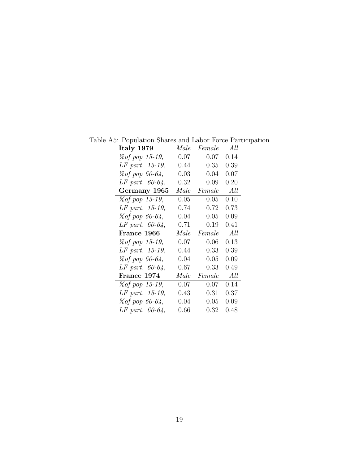| Italy 1979             | Male     | Female | All        |
|------------------------|----------|--------|------------|
| <i>% of pop 15-19,</i> | $0.07\,$ | 0.07   | 0.14       |
| LF part. 15-19,        | $0.44\,$ | 0.35   | 0.39       |
| % of pop 60-64,        | $0.03\,$ | 0.04   | 0.07       |
| $LF$ part. 60-64,      | 0.32     | 0.09   | 0.20       |
| Germany 1965           | Male     | Female | All        |
| <i>% of pop 15-19,</i> | 0.05     | 0.05   | 0.10       |
| LF part. 15-19,        | $0.74\,$ | 0.72   | $\rm 0.73$ |
| % of pop 60-64,        | 0.04     | 0.05   | $0.09\,$   |
| $LF$ part. 60-64,      | $0.71\,$ | 0.19   | 0.41       |
|                        |          |        |            |
| France 1966            | Male     | Female | All        |
| % of pop 15-19,        | $0.07\,$ | 0.06   | 0.13       |
| LF part. 15-19,        | 0.44     | 0.33   | 0.39       |
| % of pop 60-64,        | 0.04     | 0.05   | 0.09       |
| $LF$ part. 60-64,      | 0.67     | 0.33   | 0.49       |
| France 1974            | Male     | Female | All        |
| % of pop 15-19,        | $0.07\,$ | 0.07   | 0.14       |
| LF part. 15-19,        | $0.43\,$ | 0.31   | $0.37\,$   |
| % of pop 60-64,        | $0.04\,$ | 0.05   | $0.09\,$   |

Table A5: Population Shares and Labor Force Participation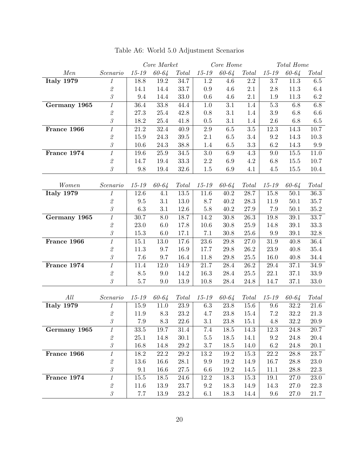|                         |                                                                                          | Core Market |                 | Core Home    |           |           | Total Home   |           |           |              |
|-------------------------|------------------------------------------------------------------------------------------|-------------|-----------------|--------------|-----------|-----------|--------------|-----------|-----------|--------------|
| Men                     | Scenario                                                                                 | $15 - 19$   | 60-64           | Total        | $15 - 19$ | 60-64     | <b>Total</b> | $15 - 19$ | 60-64     | <b>Total</b> |
| Italy $19\overline{79}$ | $\mathcal{I}$                                                                            | 18.8        | 19.2            | 34.7         | $1.2\,$   | 4.6       | $2.2\,$      | $3.7\,$   | 11.3      | 6.5          |
|                         | $\mathcal{Q}% _{M_{1},M_{2}}^{\alpha,\beta}(\varepsilon)$                                | 14.1        | 14.4            | 33.7         | $0.9\,$   | 4.6       | 2.1          | 2.8       | 11.3      | 6.4          |
|                         | $\ensuremath{\mathcal{S}}$                                                               | 9.4         | 14.4            | $33.0\,$     | 0.6       | 4.6       | 2.1          | 1.9       | 11.3      | 6.2          |
| Germany 1965            | $\mathcal{I}$                                                                            | 36.4        | 33.8            | 44.4         | 1.0       | $3.1\,$   | 1.4          | $5.3\,$   | 6.8       | $6.8\,$      |
|                         | $\mathcal{Q}% _{M_{1},M_{2}}^{\alpha,\beta}(\varepsilon)$                                | 27.3        | 25.4            | 42.8         | $0.8\,$   | $3.1\,$   | 1.4          | $3.9\,$   | $6.8\,$   | $6.6\,$      |
|                         | $\mathcal S$                                                                             | 18.2        | $25.4\,$        | 41.8         | 0.5       | 3.1       | 1.4          | 2.6       | 6.8       | $6.5\,$      |
| France 1966             | $\it 1$                                                                                  | 21.2        | 32.4            | 40.9         | $2.9\,$   | 6.5       | $3.5\,$      | 12.3      | 14.3      | 10.7         |
|                         | $\mathcal{Q}% _{M_{1},M_{2}}^{\alpha,\beta}(\varepsilon)$                                | 15.9        | 24.3            | 39.5         | 2.1       | 6.5       | 3.4          | 9.2       | 14.3      | 10.3         |
|                         | $\mathcal{\emph{3}}$                                                                     | 10.6        | 24.3            | 38.8         | 1.4       | 6.5       | $\!3.3$      | $6.2\,$   | 14.3      | 9.9          |
| France 1974             | $\overline{1}$                                                                           | 19.6        | 25.9            | 34.5         | $3.0\,$   | $6.9\,$   | $4.3\,$      | $9.0\,$   | 15.5      | 11.0         |
|                         | $\mathcal{Q}% _{M_{1},M_{2}}^{\alpha,\beta}(\varepsilon)$                                | 14.7        | 19.4            | 33.3         | $2.2\,$   | 6.9       | 4.2          | 6.8       | 15.5      | 10.7         |
|                         | $\mathcal S$                                                                             | 9.8         | 19.4            | 32.6         | 1.5       | 6.9       | 4.1          | 4.5       | 15.5      | 10.4         |
|                         |                                                                                          |             |                 |              |           |           |              |           |           |              |
| Women                   | Scenario                                                                                 | $15 - 19$   | $60 - 64$       | <b>Total</b> | 15-19     | $60 - 64$ | <b>Total</b> | $15 - 19$ | $60 - 64$ | Total        |
| <b>Italy 1979</b>       | $\mathcal{I}$                                                                            | 12.6        | 4.1             | 13.5         | 11.6      | 40.2      | 28.7         | 15.8      | $50.1\,$  | $36.3\,$     |
|                         | $\mathcal{Q}% _{M_{1},M_{2}}^{\alpha,\beta}(\varepsilon)$                                | $\,9.5$     | 3.1             | 13.0         | 8.7       | 40.2      | 28.3         | 11.9      | 50.1      | 35.7         |
|                         | $\mathcal S$                                                                             | $6.3\,$     | 3.1             | 12.6         | $5.8\,$   | 40.2      | 27.9         | 7.9       | 50.1      | $35.2\,$     |
| Germany 1965            | $\mathcal{I}$                                                                            | 30.7        | $8.0\,$         | 18.7         | 14.2      | $30.8\,$  | 26.3         | 19.8      | 39.1      | $33.7\,$     |
|                         | $\mathcal{Q}% _{M_{1},M_{2}}^{\alpha,\beta}(\varepsilon)$                                | $23.0\,$    | $6.0\,$         | 17.8         | 10.6      | 30.8      | 25.9         | 14.8      | $39.1\,$  | $33.3\,$     |
|                         | $\mathcal{\emph{3}}$                                                                     | 15.3        | $6.0\,$         | 17.1         | 7.1       | 30.8      | $25.6\,$     | $9.9\,$   | 39.1      | $32.8\,$     |
| France 1966             | $\it 1$                                                                                  | 15.1        | 13.0            | 17.6         | 23.6      | 29.8      | 27.0         | 31.9      | 40.8      | $36.4\,$     |
|                         | $\mathcal{Q}% _{M_{1},M_{2}}^{\alpha,\beta}(\varepsilon)$                                | 11.3        | 9.7             | 16.9         | 17.7      | $29.8\,$  | $26.2\,$     | 23.9      | 40.8      | 35.4         |
|                         | $\mathcal S$                                                                             | 7.6         | 9.7             | 16.4         | 11.8      | 29.8      | $25.5\,$     | 16.0      | 40.8      | 34.4         |
| France 1974             | $\overline{1}$                                                                           | 11.4        | 12.0            | 14.9         | 21.7      | 28.4      | 26.2         | 29.4      | 37.1      | 34.9         |
|                         | $\mathcal{Q}% _{M_{1},M_{2}}^{\alpha,\beta}(\varepsilon)$                                | 8.5         | 9.0             | 14.2         | 16.3      | $28.4\,$  | 25.5         | 22.1      | 37.1      | 33.9         |
|                         | $\mathcal G$                                                                             | $5.7\,$     | 9.0             | 13.9         | 10.8      | 28.4      | 24.8         | 14.7      | 37.1      | $33.0\,$     |
|                         |                                                                                          |             |                 |              |           |           |              |           |           |              |
| All                     | Scenario                                                                                 | $15 - 19$   | $60 - 64$       | <b>Total</b> | $15 - 19$ | $60 - 64$ | <b>Total</b> | $15 - 19$ | $60 - 64$ | Total        |
| <b>Italy 1979</b>       | $\it 1$                                                                                  | 15.9        | 11.0            | 23.9         | 6.3       | $23.8\,$  | 15.6         | 9.6       | $32.2\,$  | 21.6         |
|                         | $\mathcal{Q}% _{M_{1},M_{2}}^{\alpha,\beta}(\varepsilon)$                                | 11.9        | 8.3             | 23.2         | 4.7       | 23.8      | 15.4         | $7.2\,$   | 32.2      | 21.3         |
|                         | $\mathcal{S}$                                                                            | 7.9         | $\!\!\!\!\!8.3$ | $22.6\,$     | 3.1       | $23.8\,$  | 15.1         | 4.8       | 32.2      | $20.9\,$     |
| Germany 1965            | 1                                                                                        | 33.5        | 19.7            | 31.4         | 7.4       | 18.5      | 14.3         | 12.3      | 24.8      | 20.7         |
|                         | $\mathcal{Z}% _{M_{1},M_{2}}^{\prime }\left( \mathcal{Z}_{M_{1},M_{2}}^{\prime }\right)$ | 25.1        | 14.8            | 30.1         | $5.5\,$   | 18.5      | 14.1         | 9.2       | $24.8\,$  | 20.4         |
|                         | $\mathcal S$                                                                             | 16.8        | 14.8            | $29.2\,$     | 3.7       | 18.5      | 14.0         | 6.2       | 24.8      | $20.1\,$     |
| France 1966             | $\it 1$                                                                                  | 18.2        | 22.2            | 29.2         | 13.2      | 19.2      | 15.3         | 22.2      | 28.8      | $23.7\,$     |
|                         | $\mathcal{Q}% _{M_{1},M_{2}}^{\alpha,\beta}(\varepsilon)$                                | 13.6        | 16.6            | 28.1         | 9.9       | 19.2      | 14.9         | 16.7      | $28.8\,$  | $23.0\,$     |
|                         | $\mathcal S$                                                                             | 9.1         | 16.6            | $27.5\,$     | $6.6\,$   | $19.2\,$  | 14.5         | 11.1      | $28.8\,$  | $22.3\,$     |
| France 1974             | $\overline{1}$                                                                           | 15.5        | 18.5            | 24.6         | 12.2      | 18.3      | 15.3         | 19.1      | $27.0\,$  | 23.0         |
|                         | $\mathcal{Q}% _{M_{1},M_{2}}^{\alpha,\beta}(\varepsilon)$                                | 11.6        | 13.9            | 23.7         | 9.2       | 18.3      | 14.9         | 14.3      | 27.0      | 22.3         |
|                         | $\mathcal S$                                                                             | $7.7\,$     | 13.9            | 23.2         | 6.1       | 18.3      | 14.4         | 9.6       | 27.0      | 21.7         |

Table A6: World 5.0 Adjustment Scenarios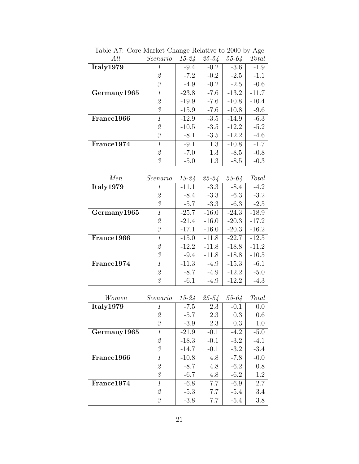| All         | Scenario                                                                                   | $15 - 24$ | $25 - 54$ | $55 - 64$ | <b>Total</b>       |
|-------------|--------------------------------------------------------------------------------------------|-----------|-----------|-----------|--------------------|
| Italy1979   | 1                                                                                          | $-9.4$    | $-0.2$    | $-3.6$    | $-1.9$             |
|             | $\mathcal{Q}% _{M_{1},M_{2}}^{\alpha,\beta}(\varepsilon)$                                  | $-7.2$    | $-0.2$    | $-2.5$    | $-1.1$             |
|             | $\mathcal S$                                                                               | $-4.9$    | $-0.2$    | $-2.5$    | $-0.6$             |
| Germany1965 | $\mathbf{1}$                                                                               | $-23.8$   | $-7.6$    | $-13.2$   | $-11.\overline{7}$ |
|             | $\mathcal{Q}% _{M_{1},M_{2}}^{\alpha,\beta}(\varepsilon)$                                  | $-19.9$   | $-7.6$    | $-10.8$   | $-10.4$            |
|             | $\mathcal{\emph{3}}$                                                                       | $-15.9$   | $-7.6$    | $-10.8$   | $-9.6$             |
| France1966  | $\overline{1}$                                                                             | $-12.9$   | $-3.5$    | $-14.9$   | $-6.3$             |
|             | $\mathcal{Q}% _{M_{1},M_{2}}^{\prime }\!\left( \mathcal{Q}_{M_{1},M_{2}}^{\prime }\right)$ | $-10.5$   | $-3.5$    | $-12.2$   | $-5.2$             |
|             | $\mathcal{S}% _{M_{1},M_{2}}^{\alpha,\beta}(\varepsilon)$                                  | $-8.1$    | $-3.5$    | $-12.2$   | $-4.6$             |
| France1974  | $\it 1$                                                                                    | $-9.1$    | 1.3       | $-10.8$   | $-1.7$             |
|             | $\mathcal{Q}% _{M_{1},M_{2}}^{\prime }\!\left( \mathcal{Q}_{M_{1},M_{2}}^{\prime }\right)$ | $-7.0$    | 1.3       | $-8.5$    | $-0.8$             |
|             | $\mathcal{S}$                                                                              | $-5.0$    | 1.3       | $-8.5$    | $-0.3$             |
| Men         | Scenario                                                                                   | $15 - 24$ | $25 - 54$ | $55 - 64$ | Total              |
| Italy1979   | 1                                                                                          | $-11.1$   | $-3.3$    | $-8.4$    | $-4.2$             |
|             | $\it 2$                                                                                    | $-8.4$    | $-3.3$    | $-6.3$    | $-3.2$             |
|             | $\mathcal S$                                                                               | $-5.7$    | $-3.3$    | $-6.3$    | $-2.5$             |
| Germany1965 | $\mathcal{I}$                                                                              | $-25.7$   | $-16.0$   | $-24.3$   | $-18.9$            |
|             | $\mathcal{Q}% _{M_{1},M_{2}}^{\alpha,\beta}(\varepsilon)$                                  | $-21.4$   | $-16.0$   | $-20.3$   | $-17.2$            |
|             | $\mathcal{S}$                                                                              | $-17.1$   | $-16.0$   | $-20.3$   | $-16.2$            |
| France1966  | $\overline{1}$                                                                             | $-15.0$   | $-11.8$   | $-22.7$   | $-12.5$            |
|             | $\mathcal{Q}% _{M_{1},M_{2}}^{\prime }\!\left( \mathcal{Q}_{M_{1},M_{2}}^{\prime }\right)$ | $-12.2$   | $-11.8$   | $-18.8$   | $-11.2$            |
|             | $\mathcal{S}$                                                                              | $-9.4$    | $-11.8$   | $-18.8$   | $-10.5$            |
| France1974  | $\mathcal{I}$                                                                              | $-11.3$   | $-4.9$    | $-15.3$   | $-6.1$             |
|             | $\it 2$                                                                                    | $-8.7$    | $-4.9$    | $-12.2$   | $-5.0$             |
|             | $\mathcal{S}$                                                                              | $-6.1$    | $-4.9$    | $-12.2$   | $-4.3$             |
|             |                                                                                            |           |           |           |                    |
| Women       | Scenario                                                                                   | $15 - 24$ | $25 - 54$ | $55 - 64$ | Total              |
| Italy1979   | $\mathcal{I}$                                                                              | $-7.5$    | 2.3       | $-0.1$    | 0.0                |
|             | $\mathcal{Q}% _{M_{1},M_{2}}^{\prime }\!\left( \mathcal{Q}_{M_{1},M_{2}}^{\prime }\right)$ | $-5.7$    | 2.3       | 0.3       | 0.6                |
|             | $\mathcal S$                                                                               | $-3.9$    | 2.3       | 0.3       | 1.0                |
| Germany1965 | $\mathbf{1}$                                                                               | $-21.9$   | $-0.1$    | $-4.2$    | $-5.0$             |
|             | $\mathcal{Q}% _{M_{1},M_{2}}^{\alpha,\beta}(\varepsilon)$                                  | $-18.3$   | $-0.1$    | $-3.2$    | $-4.1$             |
|             | $\mathcal{S}$                                                                              | $-14.7$   | $-0.1$    | $-3.2$    | $-3.4$             |
| France1966  | $\mathbf{1}$                                                                               | $-10.8$   | 4.8       | $-7.8$    | $-0.0$             |
|             | $\mathcal{Q}% _{M_{1},M_{2}}^{\prime }\!\left( \mathcal{Q}_{M_{1},M_{2}}^{\prime }\right)$ | $-8.7$    | 4.8       | $-6.2$    | 0.8                |
|             | $\mathcal S$                                                                               | $-6.7$    | 4.8       | $-6.2$    | 1.2                |
| France1974  | $\mathcal{I}$                                                                              | $-6.8$    | 7.7       | $-6.9$    | 2.7                |
|             | $\mathcal{Q}% _{M_{1},M_{2}}^{\alpha,\beta}(\varepsilon)$                                  | $-5.3$    | 7.7       | $-5.4$    | 3.4                |
|             | $\mathcal{S}$                                                                              | $-3.8$    | 7.7       | $-5.4$    | 3.8                |

Table A7: Core Market Change Relative to 2000 by Age